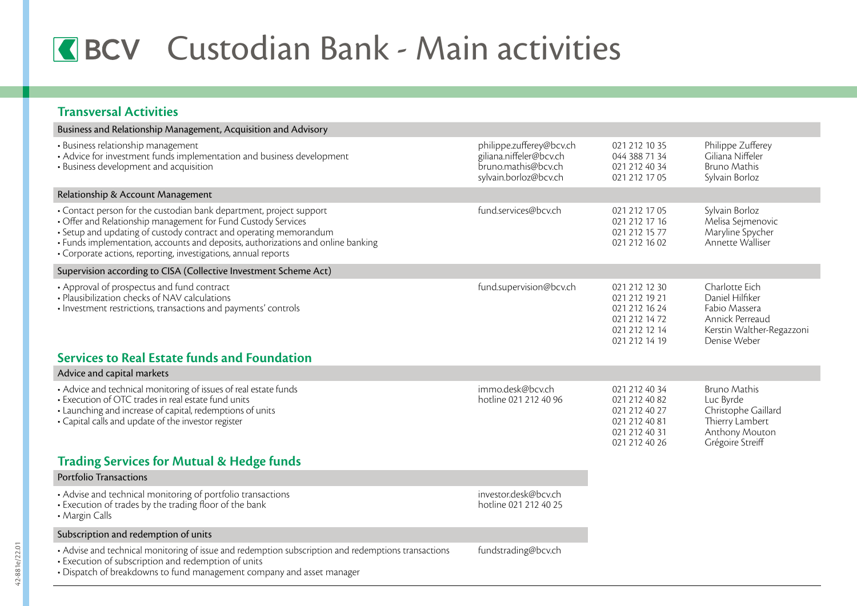## **K**BCV Custodian Bank - Main activities

## **Transversal Activities**

| Business and Relationship Management, Acquisition and Advisory                                                                                                                                                                                                                                                                                                  |                                                                                                     |                                                                                                    |                                                                                                                    |
|-----------------------------------------------------------------------------------------------------------------------------------------------------------------------------------------------------------------------------------------------------------------------------------------------------------------------------------------------------------------|-----------------------------------------------------------------------------------------------------|----------------------------------------------------------------------------------------------------|--------------------------------------------------------------------------------------------------------------------|
| • Business relationship management<br>• Advice for investment funds implementation and business development<br>• Business development and acquisition                                                                                                                                                                                                           | philippe.zufferey@bcv.ch<br>giliana.niffeler@bcv.ch<br>bruno.mathis@bcv.ch<br>sylvain.borloz@bcv.ch | 021 212 10 35<br>044 388 71 34<br>021 212 40 34<br>021 212 17 05                                   | Philippe Zufferey<br>Giliana Niffeler<br>Bruno Mathis<br>Sylvain Borloz                                            |
| Relationship & Account Management                                                                                                                                                                                                                                                                                                                               |                                                                                                     |                                                                                                    |                                                                                                                    |
| • Contact person for the custodian bank department, project support<br>• Offer and Relationship management for Fund Custody Services<br>• Setup and updating of custody contract and operating memorandum<br>• Funds implementation, accounts and deposits, authorizations and online banking<br>• Corporate actions, reporting, investigations, annual reports | fund.services@bcv.ch                                                                                | 021 212 17 05<br>021 212 17 16<br>021 212 15 77<br>021 212 16 02                                   | Sylvain Borloz<br>Melisa Sejmenovic<br>Maryline Spycher<br>Annette Walliser                                        |
| Supervision according to CISA (Collective Investment Scheme Act)                                                                                                                                                                                                                                                                                                |                                                                                                     |                                                                                                    |                                                                                                                    |
| • Approval of prospectus and fund contract<br>· Plausibilization checks of NAV calculations<br>· Investment restrictions, transactions and payments' controls<br>Services to Real Estate funds and Foundation                                                                                                                                                   | fund.supervision@bcv.ch                                                                             | 021 212 12 30<br>021 212 19 21<br>021 212 16 24<br>021 212 14 72<br>021 212 12 14<br>021 212 14 19 | Charlotte Eich<br>Daniel Hilfiker<br>Fabio Massera<br>Annick Perreaud<br>Kerstin Walther-Regazzoni<br>Denise Weber |
| Advice and capital markets                                                                                                                                                                                                                                                                                                                                      |                                                                                                     |                                                                                                    |                                                                                                                    |
| • Advice and technical monitoring of issues of real estate funds<br>• Execution of OTC trades in real estate fund units<br>• Launching and increase of capital, redemptions of units<br>• Capital calls and update of the investor register                                                                                                                     | immo.desk@bcv.ch<br>hotline 021 212 40 96                                                           | 021 212 40 34<br>021 212 40 82<br>021 212 40 27<br>021 212 40 81<br>021 212 40 31<br>021 212 40 26 | <b>Bruno Mathis</b><br>Luc Byrde<br>Christophe Gaillard<br>Thierry Lambert<br>Anthony Mouton<br>Grégoire Streiff   |
| <b>Trading Services for Mutual &amp; Hedge funds</b>                                                                                                                                                                                                                                                                                                            |                                                                                                     |                                                                                                    |                                                                                                                    |
| Portfolio Transactions                                                                                                                                                                                                                                                                                                                                          |                                                                                                     |                                                                                                    |                                                                                                                    |
| • Advise and technical monitoring of portfolio transactions<br>• Execution of trades by the trading floor of the bank<br>• Margin Calls                                                                                                                                                                                                                         | investor.desk@bcv.ch<br>hotline 021 212 40 25                                                       |                                                                                                    |                                                                                                                    |
| Subscription and redemption of units                                                                                                                                                                                                                                                                                                                            |                                                                                                     |                                                                                                    |                                                                                                                    |
| • Advise and technical monitoring of issue and redemption subscription and redemptions transactions<br>· Execution of subscription and redemption of units<br>• Dispatch of breakdowns to fund management company and asset manager                                                                                                                             | fundstrading@bcv.ch                                                                                 |                                                                                                    |                                                                                                                    |